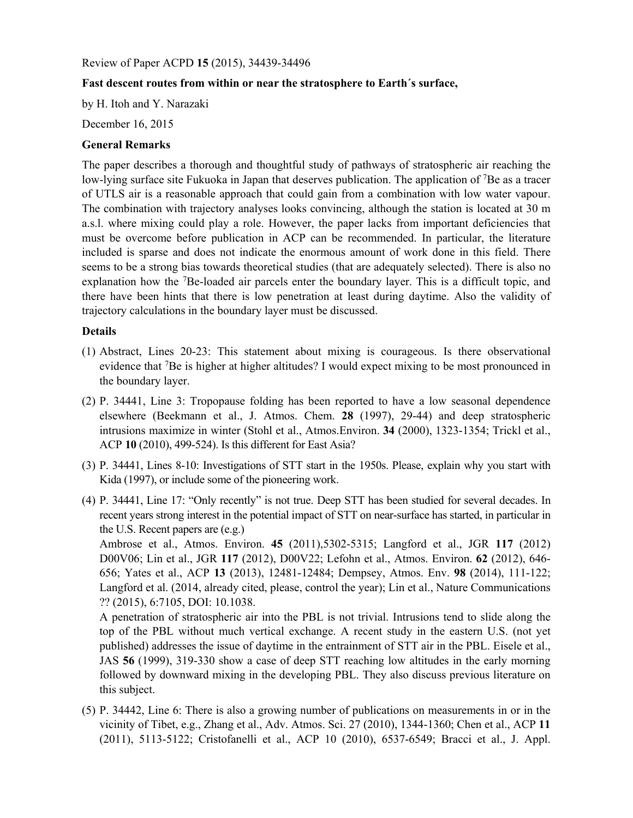Review of Paper ACPD **15** (2015), 34439-34496

## **Fast descent routes from within or near the stratosphere to Earth´s surface,**

by H. Itoh and Y. Narazaki

December 16, 2015

## **General Remarks**

The paper describes a thorough and thoughtful study of pathways of stratospheric air reaching the low-lying surface site Fukuoka in Japan that deserves publication. The application of 7Be as a tracer of UTLS air is a reasonable approach that could gain from a combination with low water vapour. The combination with trajectory analyses looks convincing, although the station is located at 30 m a.s.l. where mixing could play a role. However, the paper lacks from important deficiencies that must be overcome before publication in ACP can be recommended. In particular, the literature included is sparse and does not indicate the enormous amount of work done in this field. There seems to be a strong bias towards theoretical studies (that are adequately selected). There is also no explanation how the <sup>7</sup>Be-loaded air parcels enter the boundary layer. This is a difficult topic, and there have been hints that there is low penetration at least during daytime. Also the validity of trajectory calculations in the boundary layer must be discussed.

## **Details**

- (1) Abstract, Lines 20-23: This statement about mixing is courageous. Is there observational evidence that <sup>7</sup>Be is higher at higher altitudes? I would expect mixing to be most pronounced in the boundary layer.
- (2) P. 34441, Line 3: Tropopause folding has been reported to have a low seasonal dependence elsewhere (Beekmann et al., J. Atmos. Chem. **28** (1997), 29-44) and deep stratospheric intrusions maximize in winter (Stohl et al., Atmos.Environ. **34** (2000), 1323-1354; Trickl et al., ACP **10** (2010), 499-524). Is this different for East Asia?
- (3) P. 34441, Lines 8-10: Investigations of STT start in the 1950s. Please, explain why you start with Kida (1997), or include some of the pioneering work.
- (4) P. 34441, Line 17: "Only recently" is not true. Deep STT has been studied for several decades. In recent years strong interest in the potential impact of STT on near-surface has started, in particular in the U.S. Recent papers are (e.g.)

Ambrose et al., Atmos. Environ. **45** (2011),5302-5315; Langford et al., JGR **117** (2012) D00V06; Lin et al., JGR **117** (2012), D00V22; Lefohn et al., Atmos. Environ. **62** (2012), 646- 656; Yates et al., ACP **13** (2013), 12481-12484; Dempsey, Atmos. Env. **98** (2014), 111-122; Langford et al. (2014, already cited, please, control the year); Lin et al., Nature Communications ?? (2015), 6:7105, DOI: 10.1038.

A penetration of stratospheric air into the PBL is not trivial. Intrusions tend to slide along the top of the PBL without much vertical exchange. A recent study in the eastern U.S. (not yet published) addresses the issue of daytime in the entrainment of STT air in the PBL. Eisele et al., JAS **56** (1999), 319-330 show a case of deep STT reaching low altitudes in the early morning followed by downward mixing in the developing PBL. They also discuss previous literature on this subject.

(5) P. 34442, Line 6: There is also a growing number of publications on measurements in or in the vicinity of Tibet, e.g., Zhang et al., Adv. Atmos. Sci. 27 (2010), 1344-1360; Chen et al., ACP **11** (2011), 5113-5122; Cristofanelli et al., ACP 10 (2010), 6537-6549; Bracci et al., J. Appl.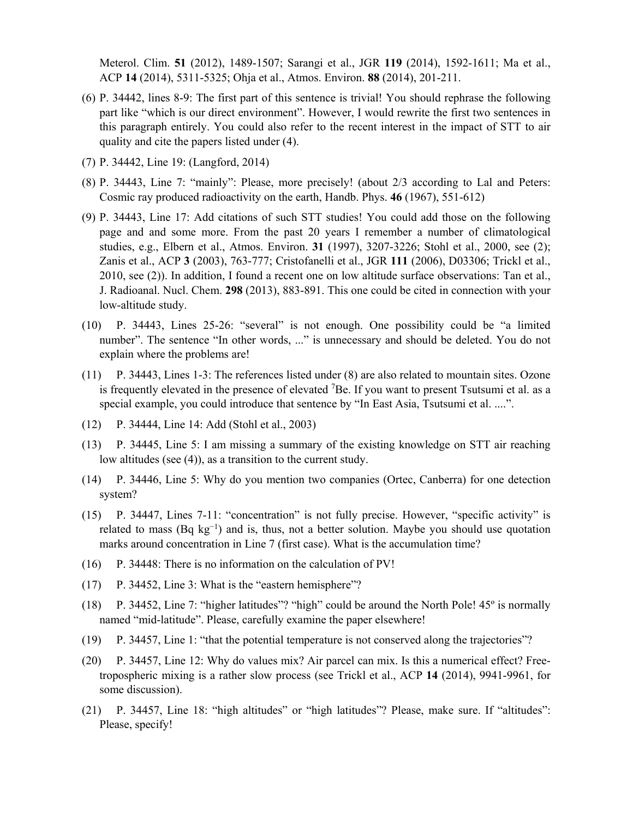Meterol. Clim. **51** (2012), 1489-1507; Sarangi et al., JGR **119** (2014), 1592-1611; Ma et al., ACP **14** (2014), 5311-5325; Ohja et al., Atmos. Environ. **88** (2014), 201-211.

- (6) P. 34442, lines 8-9: The first part of this sentence is trivial! You should rephrase the following part like "which is our direct environment". However, I would rewrite the first two sentences in this paragraph entirely. You could also refer to the recent interest in the impact of STT to air quality and cite the papers listed under (4).
- (7) P. 34442, Line 19: (Langford, 2014)
- (8) P. 34443, Line 7: "mainly": Please, more precisely! (about 2/3 according to Lal and Peters: Cosmic ray produced radioactivity on the earth, Handb. Phys. **46** (1967), 551-612)
- (9) P. 34443, Line 17: Add citations of such STT studies! You could add those on the following page and and some more. From the past 20 years I remember a number of climatological studies, e.g., Elbern et al., Atmos. Environ. **31** (1997), 3207-3226; Stohl et al., 2000, see (2); Zanis et al., ACP **3** (2003), 763-777; Cristofanelli et al., JGR **111** (2006), D03306; Trickl et al., 2010, see (2)). In addition, I found a recent one on low altitude surface observations: Tan et al., J. Radioanal. Nucl. Chem. **298** (2013), 883-891. This one could be cited in connection with your low-altitude study.
- (10) P. 34443, Lines 25-26: "several" is not enough. One possibility could be "a limited number". The sentence "In other words, ..." is unnecessary and should be deleted. You do not explain where the problems are!
- (11) P. 34443, Lines 1-3: The references listed under (8) are also related to mountain sites. Ozone is frequently elevated in the presence of elevated 7Be. If you want to present Tsutsumi et al. as a special example, you could introduce that sentence by "In East Asia, Tsutsumi et al. ....".
- (12) P. 34444, Line 14: Add (Stohl et al., 2003)
- (13) P. 34445, Line 5: I am missing a summary of the existing knowledge on STT air reaching low altitudes (see (4)), as a transition to the current study.
- (14) P. 34446, Line 5: Why do you mention two companies (Ortec, Canberra) for one detection system?
- (15) P. 34447, Lines 7-11: "concentration" is not fully precise. However, "specific activity" is related to mass (Bq kg<sup>-1</sup>) and is, thus, not a better solution. Maybe you should use quotation marks around concentration in Line 7 (first case). What is the accumulation time?
- (16) P. 34448: There is no information on the calculation of PV!
- (17) P. 34452, Line 3: What is the "eastern hemisphere"?
- (18) P. 34452, Line 7: "higher latitudes"? "high" could be around the North Pole! 45º is normally named "mid-latitude". Please, carefully examine the paper elsewhere!
- (19) P. 34457, Line 1: "that the potential temperature is not conserved along the trajectories"?
- (20) P. 34457, Line 12: Why do values mix? Air parcel can mix. Is this a numerical effect? Freetropospheric mixing is a rather slow process (see Trickl et al., ACP **14** (2014), 9941-9961, for some discussion).
- (21) P. 34457, Line 18: "high altitudes" or "high latitudes"? Please, make sure. If "altitudes": Please, specify!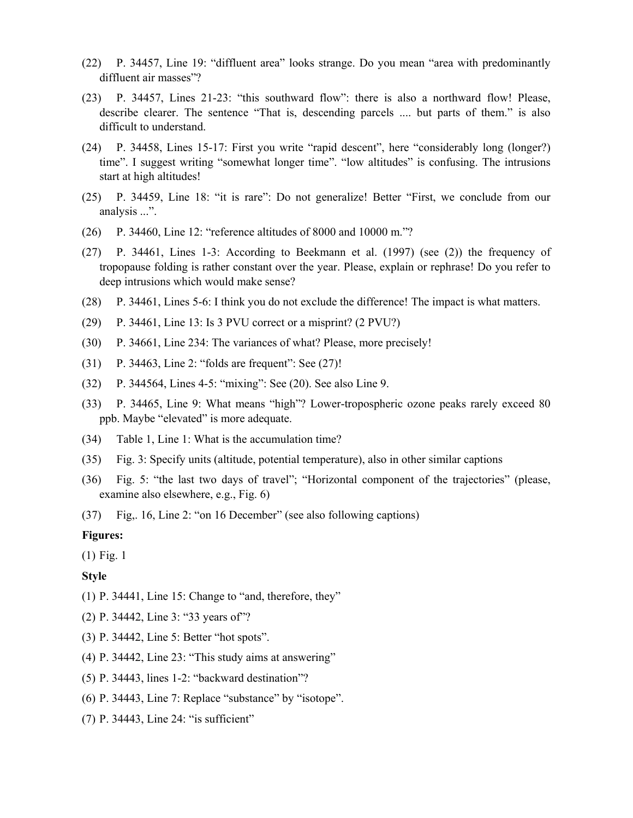- (22) P. 34457, Line 19: "diffluent area" looks strange. Do you mean "area with predominantly diffluent air masses"?
- (23) P. 34457, Lines 21-23: "this southward flow": there is also a northward flow! Please, describe clearer. The sentence "That is, descending parcels .... but parts of them." is also difficult to understand.
- (24) P. 34458, Lines 15-17: First you write "rapid descent", here "considerably long (longer?) time". I suggest writing "somewhat longer time". "low altitudes" is confusing. The intrusions start at high altitudes!
- (25) P. 34459, Line 18: "it is rare": Do not generalize! Better "First, we conclude from our analysis ...".
- (26) P. 34460, Line 12: "reference altitudes of 8000 and 10000 m."?
- (27) P. 34461, Lines 1-3: According to Beekmann et al. (1997) (see (2)) the frequency of tropopause folding is rather constant over the year. Please, explain or rephrase! Do you refer to deep intrusions which would make sense?
- (28) P. 34461, Lines 5-6: I think you do not exclude the difference! The impact is what matters.
- (29) P. 34461, Line 13: Is 3 PVU correct or a misprint? (2 PVU?)
- (30) P. 34661, Line 234: The variances of what? Please, more precisely!
- (31) P. 34463, Line 2: "folds are frequent": See (27)!
- (32) P. 344564, Lines 4-5: "mixing": See (20). See also Line 9.
- (33) P. 34465, Line 9: What means "high"? Lower-tropospheric ozone peaks rarely exceed 80 ppb. Maybe "elevated" is more adequate.
- (34) Table 1, Line 1: What is the accumulation time?
- (35) Fig. 3: Specify units (altitude, potential temperature), also in other similar captions
- (36) Fig. 5: "the last two days of travel"; "Horizontal component of the trajectories" (please, examine also elsewhere, e.g., Fig. 6)
- (37) Fig,. 16, Line 2: "on 16 December" (see also following captions)

## **Figures:**

(1) Fig. 1

**Style** 

- (1) P. 34441, Line 15: Change to "and, therefore, they"
- (2) P. 34442, Line 3: "33 years of"?
- (3) P. 34442, Line 5: Better "hot spots".
- (4) P. 34442, Line 23: "This study aims at answering"
- (5) P. 34443, lines 1-2: "backward destination"?
- (6) P. 34443, Line 7: Replace "substance" by "isotope".
- (7) P. 34443, Line 24: "is sufficient"